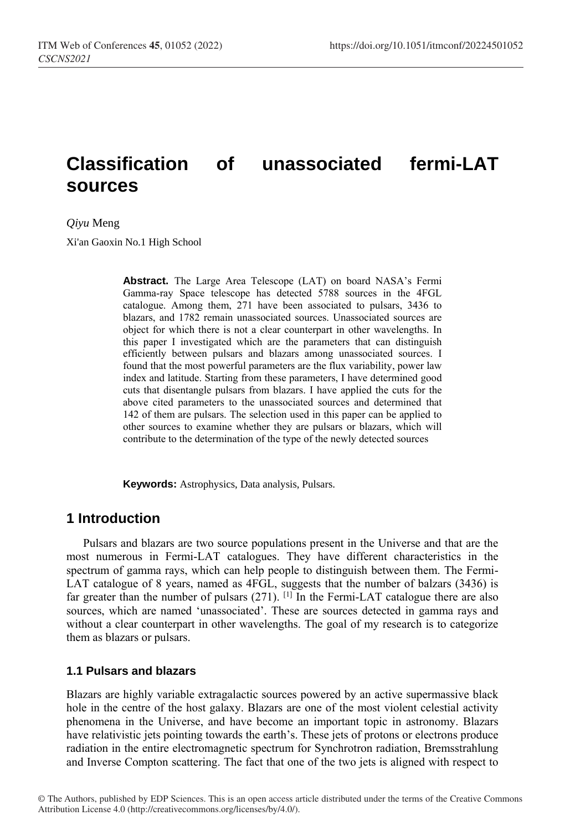# **Classification of unassociated fermi-LAT sources**

*Qiyu* Meng

Xi'an Gaoxin No.1 High School

**Abstract.** The Large Area Telescope (LAT) on board NASA's Fermi Gamma-ray Space telescope has detected 5788 sources in the 4FGL catalogue. Among them, 271 have been associated to pulsars, 3436 to blazars, and 1782 remain unassociated sources. Unassociated sources are object for which there is not a clear counterpart in other wavelengths. In this paper I investigated which are the parameters that can distinguish efficiently between pulsars and blazars among unassociated sources. I found that the most powerful parameters are the flux variability, power law index and latitude. Starting from these parameters, I have determined good cuts that disentangle pulsars from blazars. I have applied the cuts for the above cited parameters to the unassociated sources and determined that 142 of them are pulsars. The selection used in this paper can be applied to other sources to examine whether they are pulsars or blazars, which will contribute to the determination of the type of the newly detected sources

**Keywords:** Astrophysics, Data analysis, Pulsars.

### **1 Introduction**

Pulsars and blazars are two source populations present in the Universe and that are the most numerous in Fermi-LAT catalogues. They have different characteristics in the spectrum of gamma rays, which can help people to distinguish between them. The Fermi-LAT catalogue of 8 years, named as 4FGL, suggests that the number of balzars (3436) is far greater than the number of pulsars  $(271)$ . [1] In the Fermi-LAT catalogue there are also sources, which are named 'unassociated'. These are sources detected in gamma rays and without a clear counterpart in other wavelengths. The goal of my research is to categorize them as blazars or pulsars.

#### **1.1 Pulsars and blazars**

Blazars are highly variable extragalactic sources powered by an active supermassive black hole in the centre of the host galaxy. Blazars are one of the most violent celestial activity phenomena in the Universe, and have become an important topic in astronomy. Blazars have relativistic jets pointing towards the earth's. These jets of protons or electrons produce radiation in the entire electromagnetic spectrum for Synchrotron radiation, Bremsstrahlung and Inverse Compton scattering. The fact that one of the two jets is aligned with respect to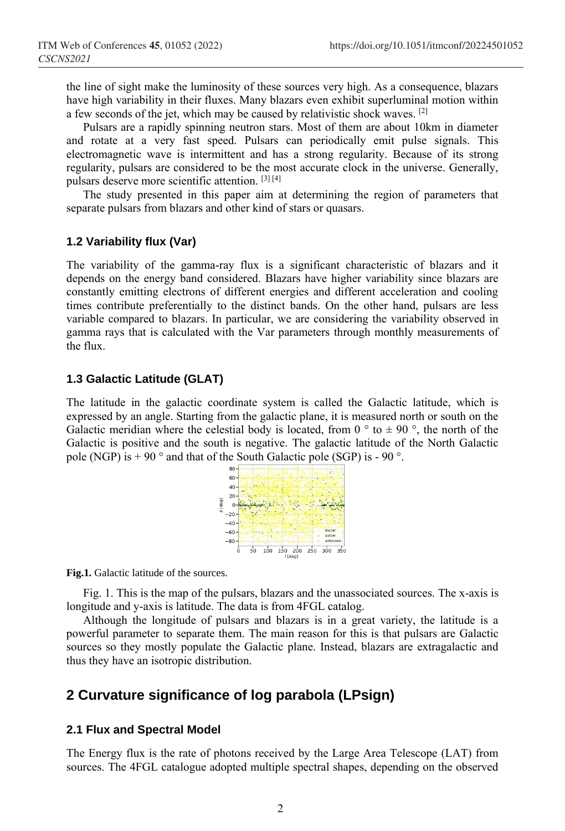the line of sight make the luminosity of these sources very high. As a consequence, blazars have high variability in their fluxes. Many blazars even exhibit superluminal motion within a few seconds of the jet, which may be caused by relativistic shock waves. [2]

Pulsars are a rapidly spinning neutron stars. Most of them are about 10km in diameter and rotate at a very fast speed. Pulsars can periodically emit pulse signals. This electromagnetic wave is intermittent and has a strong regularity. Because of its strong regularity, pulsars are considered to be the most accurate clock in the universe. Generally, pulsars deserve more scientific attention. [3] [4]

The study presented in this paper aim at determining the region of parameters that separate pulsars from blazars and other kind of stars or quasars.

#### **1.2 Variability flux (Var)**

The variability of the gamma-ray flux is a significant characteristic of blazars and it depends on the energy band considered. Blazars have higher variability since blazars are constantly emitting electrons of different energies and different acceleration and cooling times contribute preferentially to the distinct bands. On the other hand, pulsars are less variable compared to blazars. In particular, we are considering the variability observed in gamma rays that is calculated with the Var parameters through monthly measurements of the flux.

#### **1.3 Galactic Latitude (GLAT)**

The latitude in the galactic coordinate system is called the Galactic latitude, which is expressed by an angle. Starting from the galactic plane, it is measured north or south on the Galactic meridian where the celestial body is located, from 0  $\degree$  to  $\pm$  90  $\degree$ , the north of the Galactic is positive and the south is negative. The galactic latitude of the North Galactic pole (NGP) is  $+90^\circ$  and that of the South Galactic pole (SGP) is - 90 $^\circ$ .



**Fig.1.** Galactic latitude of the sources.

Fig. 1. This is the map of the pulsars, blazars and the unassociated sources. The x-axis is longitude and y-axis is latitude. The data is from 4FGL catalog.

Although the longitude of pulsars and blazars is in a great variety, the latitude is a powerful parameter to separate them. The main reason for this is that pulsars are Galactic sources so they mostly populate the Galactic plane. Instead, blazars are extragalactic and thus they have an isotropic distribution.

### **2 Curvature significance of log parabola (LPsign)**

#### **2.1 Flux and Spectral Model**

The Energy flux is the rate of photons received by the Large Area Telescope (LAT) from sources. The 4FGL catalogue adopted multiple spectral shapes, depending on the observed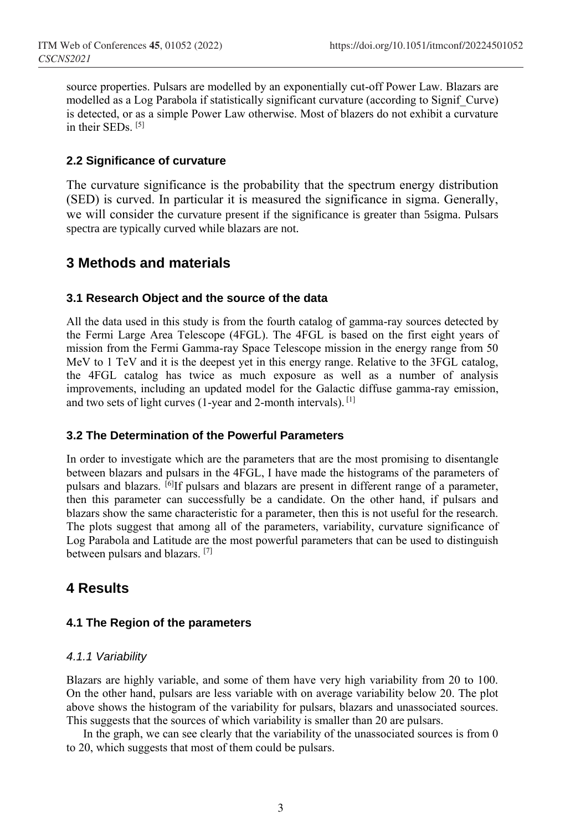source properties. Pulsars are modelled by an exponentially cut-off Power Law. Blazars are modelled as a Log Parabola if statistically significant curvature (according to Signif\_Curve) is detected, or as a simple Power Law otherwise. Most of blazers do not exhibit a curvature in their SEDs. [5]

### **2.2 Significance of curvature**

The curvature significance is the probability that the spectrum energy distribution (SED) is curved. In particular it is measured the significance in sigma. Generally, we will consider the curvature present if the significance is greater than 5sigma. Pulsars spectra are typically curved while blazars are not.

### **3 Methods and materials**

### **3.1 Research Object and the source of the data**

All the data used in this study is from the fourth catalog of gamma-ray sources detected by the Fermi Large Area Telescope (4FGL). The 4FGL is based on the first eight years of mission from the Fermi Gamma-ray Space Telescope mission in the energy range from 50 MeV to 1 TeV and it is the deepest yet in this energy range. Relative to the 3FGL catalog, the 4FGL catalog has twice as much exposure as well as a number of analysis improvements, including an updated model for the Galactic diffuse gamma-ray emission, and two sets of light curves (1-year and 2-month intervals). [1]

### **3.2 The Determination of the Powerful Parameters**

In order to investigate which are the parameters that are the most promising to disentangle between blazars and pulsars in the 4FGL, I have made the histograms of the parameters of pulsars and blazars. [6] If pulsars and blazars are present in different range of a parameter, then this parameter can successfully be a candidate. On the other hand, if pulsars and blazars show the same characteristic for a parameter, then this is not useful for the research. The plots suggest that among all of the parameters, variability, curvature significance of Log Parabola and Latitude are the most powerful parameters that can be used to distinguish between pulsars and blazars. [7]

### **4 Results**

### **4.1 The Region of the parameters**

### *4.1.1 Variability*

Blazars are highly variable, and some of them have very high variability from 20 to 100. On the other hand, pulsars are less variable with on average variability below 20. The plot above shows the histogram of the variability for pulsars, blazars and unassociated sources. This suggests that the sources of which variability is smaller than 20 are pulsars.

In the graph, we can see clearly that the variability of the unassociated sources is from 0 to 20, which suggests that most of them could be pulsars.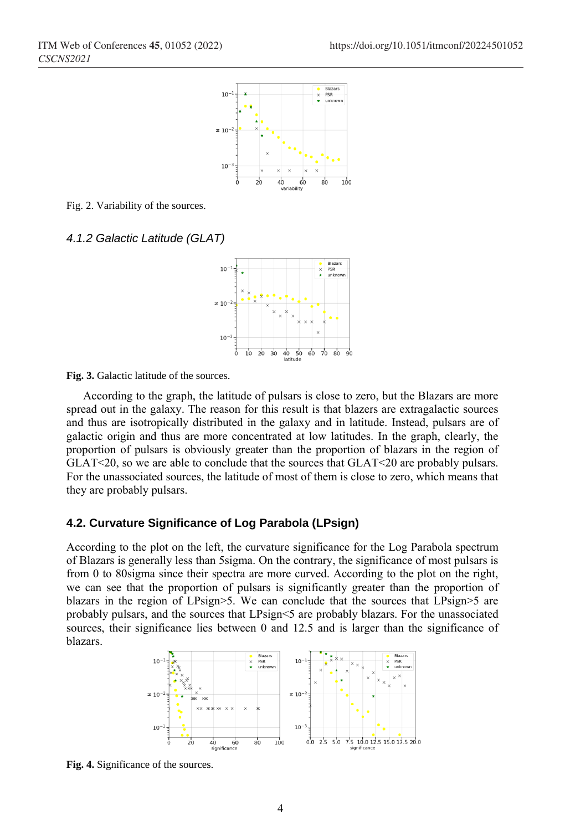

Fig. 2. Variability of the sources.

#### *4.1.2 Galactic Latitude (GLAT)*



**Fig. 3.** Galactic latitude of the sources.

According to the graph, the latitude of pulsars is close to zero, but the Blazars are more spread out in the galaxy. The reason for this result is that blazers are extragalactic sources and thus are isotropically distributed in the galaxy and in latitude. Instead, pulsars are of galactic origin and thus are more concentrated at low latitudes. In the graph, clearly, the proportion of pulsars is obviously greater than the proportion of blazars in the region of GLAT<20, so we are able to conclude that the sources that GLAT<20 are probably pulsars. For the unassociated sources, the latitude of most of them is close to zero, which means that they are probably pulsars.

#### **4.2. Curvature Significance of Log Parabola (LPsign)**

According to the plot on the left, the curvature significance for the Log Parabola spectrum of Blazars is generally less than 5sigma. On the contrary, the significance of most pulsars is from 0 to 80sigma since their spectra are more curved. According to the plot on the right, we can see that the proportion of pulsars is significantly greater than the proportion of blazars in the region of LPsign>5. We can conclude that the sources that LPsign>5 are probably pulsars, and the sources that LPsign<5 are probably blazars. For the unassociated sources, their significance lies between 0 and 12.5 and is larger than the significance of blazars.



**Fig. 4.** Significance of the sources.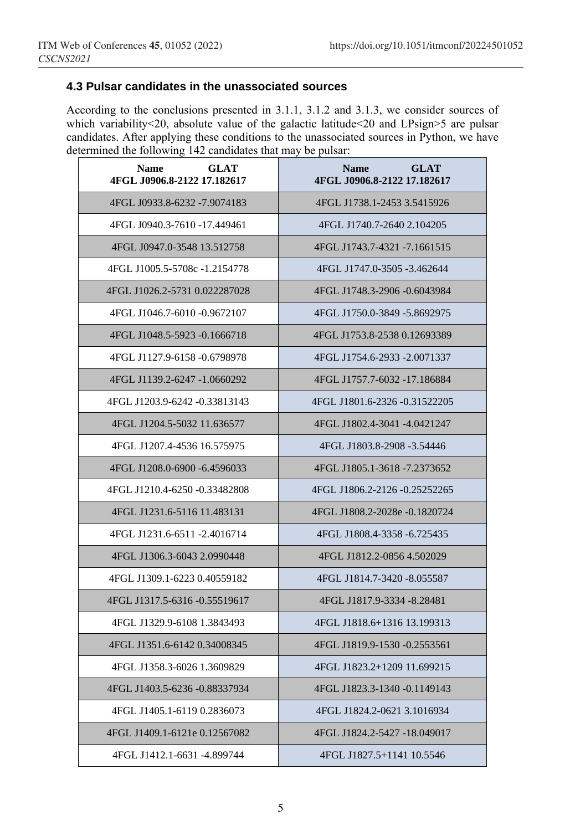### **4.3 Pulsar candidates in the unassociated sources**

According to the conclusions presented in 3.1.1, 3.1.2 and 3.1.3, we consider sources of which variability<20, absolute value of the galactic latitude <20 and LPsign>5 are pulsar candidates. After applying these conditions to the unassociated sources in Python, we have determined the following 142 candidates that may be pulsar:  $\overline{\phantom{0}}$ 

| <b>GLAT</b><br><b>Name</b><br>4FGL J0906.8-2122 17.182617 | <b>Name</b><br><b>GLAT</b><br>4FGL J0906.8-2122 17.182617 |
|-----------------------------------------------------------|-----------------------------------------------------------|
| 4FGL J0933.8-6232 -7.9074183                              | 4FGL J1738.1-2453 3.5415926                               |
| 4FGL J0940.3-7610 -17.449461                              | 4FGL J1740.7-2640 2.104205                                |
| 4FGL J0947.0-3548 13.512758                               | 4FGL J1743.7-4321 -7.1661515                              |
| 4FGL J1005.5-5708c -1.2154778                             | 4FGL J1747.0-3505 -3.462644                               |
| 4FGL J1026.2-5731 0.022287028                             | 4FGL J1748.3-2906 -0.6043984                              |
| 4FGL J1046.7-6010 -0.9672107                              | 4FGL J1750.0-3849 -5.8692975                              |
| 4FGL J1048.5-5923 -0.1666718                              | 4FGL J1753.8-2538 0.12693389                              |
| 4FGL J1127.9-6158 -0.6798978                              | 4FGL J1754.6-2933 -2.0071337                              |
| 4FGL J1139.2-6247 -1.0660292                              | 4FGL J1757.7-6032 -17.186884                              |
| 4FGL J1203.9-6242 -0.33813143                             | 4FGL J1801.6-2326 -0.31522205                             |
| 4FGL J1204.5-5032 11.636577                               | 4FGL J1802.4-3041 -4.0421247                              |
| 4FGL J1207.4-4536 16.575975                               | 4FGL J1803.8-2908 -3.54446                                |
| 4FGL J1208.0-6900 -6.4596033                              | 4FGL J1805.1-3618 -7.2373652                              |
| 4FGL J1210.4-6250 -0.33482808                             | 4FGL J1806.2-2126 -0.25252265                             |
| 4FGL J1231.6-5116 11.483131                               | 4FGL J1808.2-2028e -0.1820724                             |
| 4FGL J1231.6-6511 -2.4016714                              | 4FGL J1808.4-3358 -6.725435                               |
| 4FGL J1306.3-6043 2.0990448                               | 4FGL J1812.2-0856 4.502029                                |
| 4FGL J1309.1-6223 0.40559182                              | 4FGL J1814.7-3420 -8.055587                               |
| 4FGL J1317.5-6316 -0.55519617                             | 4FGL J1817.9-3334 -8.28481                                |
| 4FGL J1329.9-6108 1.3843493                               | 4FGL J1818.6+1316 13.199313                               |
| 4FGL J1351.6-6142 0.34008345                              | 4FGL J1819.9-1530 -0.2553561                              |
| 4FGL J1358.3-6026 1.3609829                               | 4FGL J1823.2+1209 11.699215                               |
| 4FGL J1403.5-6236 -0.88337934                             | 4FGL J1823.3-1340 -0.1149143                              |
| 4FGL J1405.1-6119 0.2836073                               | 4FGL J1824.2-0621 3.1016934                               |
| 4FGL J1409.1-6121e 0.12567082                             | 4FGL J1824.2-5427-18.049017                               |
| 4FGL J1412.1-6631 -4.899744                               | 4FGL J1827.5+1141 10.5546                                 |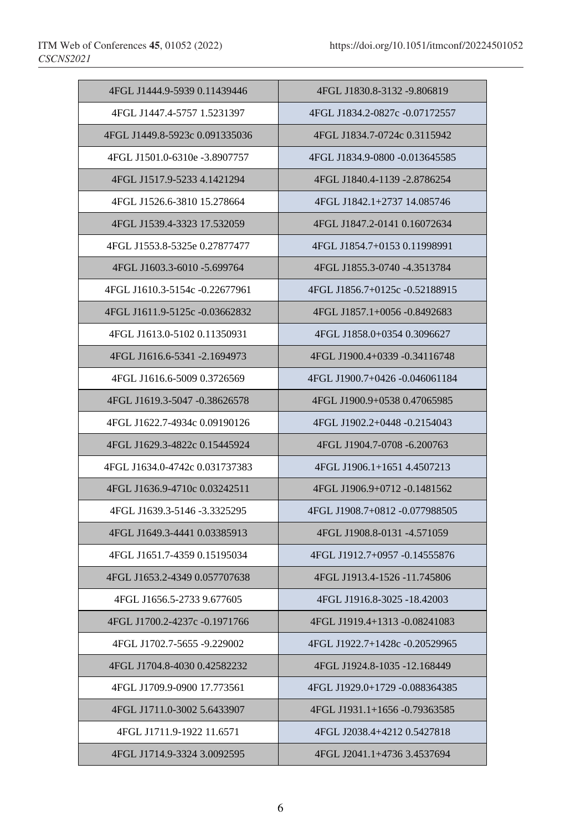| 4FGL J1444.9-5939 0.11439446   | 4FGL J1830.8-3132 -9.806819    |
|--------------------------------|--------------------------------|
| 4FGL J1447.4-5757 1.5231397    | 4FGL J1834.2-0827c -0.07172557 |
| 4FGL J1449.8-5923c 0.091335036 | 4FGL J1834.7-0724c 0.3115942   |
| 4FGL J1501.0-6310e -3.8907757  | 4FGL J1834.9-0800 -0.013645585 |
| 4FGL J1517.9-5233 4.1421294    | 4FGL J1840.4-1139 -2.8786254   |
| 4FGL J1526.6-3810 15.278664    | 4FGL J1842.1+2737 14.085746    |
| 4FGL J1539.4-3323 17.532059    | 4FGL J1847.2-0141 0.16072634   |
| 4FGL J1553.8-5325e 0.27877477  | 4FGL J1854.7+0153 0.11998991   |
| 4FGL J1603.3-6010 -5.699764    | 4FGL J1855.3-0740 -4.3513784   |
| 4FGL J1610.3-5154c -0.22677961 | 4FGL J1856.7+0125c -0.52188915 |
| 4FGL J1611.9-5125c -0.03662832 | 4FGL J1857.1+0056 -0.8492683   |
| 4FGL J1613.0-5102 0.11350931   | 4FGL J1858.0+0354 0.3096627    |
| 4FGL J1616.6-5341 -2.1694973   | 4FGL J1900.4+0339 -0.34116748  |
| 4FGL J1616.6-5009 0.3726569    | 4FGL J1900.7+0426 -0.046061184 |
| 4FGL J1619.3-5047 -0.38626578  | 4FGL J1900.9+0538 0.47065985   |
| 4FGL J1622.7-4934c 0.09190126  | 4FGL J1902.2+0448 -0.2154043   |
| 4FGL J1629.3-4822c 0.15445924  | 4FGL J1904.7-0708 -6.200763    |
| 4FGL J1634.0-4742c 0.031737383 | 4FGL J1906.1+1651 4.4507213    |
| 4FGL J1636.9-4710c 0.03242511  | 4FGL J1906.9+0712 -0.1481562   |
| 4FGL J1639.3-5146 -3.3325295   | 4FGL J1908.7+0812 -0.077988505 |
| 4FGL J1649.3-4441 0.03385913   | 4FGL J1908.8-0131 -4.571059    |
| 4FGL J1651.7-4359 0.15195034   | 4FGL J1912.7+0957 -0.14555876  |
| 4FGL J1653.2-4349 0.057707638  | 4FGL J1913.4-1526 -11.745806   |
| 4FGL J1656.5-2733 9.677605     | 4FGL J1916.8-3025 -18.42003    |
| 4FGL J1700.2-4237c -0.1971766  | 4FGL J1919.4+1313 -0.08241083  |
| 4FGL J1702.7-5655 -9.229002    | 4FGL J1922.7+1428c -0.20529965 |
| 4FGL J1704.8-4030 0.42582232   | 4FGL J1924.8-1035 -12.168449   |
| 4FGL J1709.9-0900 17.773561    | 4FGL J1929.0+1729 -0.088364385 |
| 4FGL J1711.0-3002 5.6433907    | 4FGL J1931.1+1656 -0.79363585  |
| 4FGL J1711.9-1922 11.6571      | 4FGL J2038.4+4212 0.5427818    |
| 4FGL J1714.9-3324 3.0092595    | 4FGL J2041.1+4736 3.4537694    |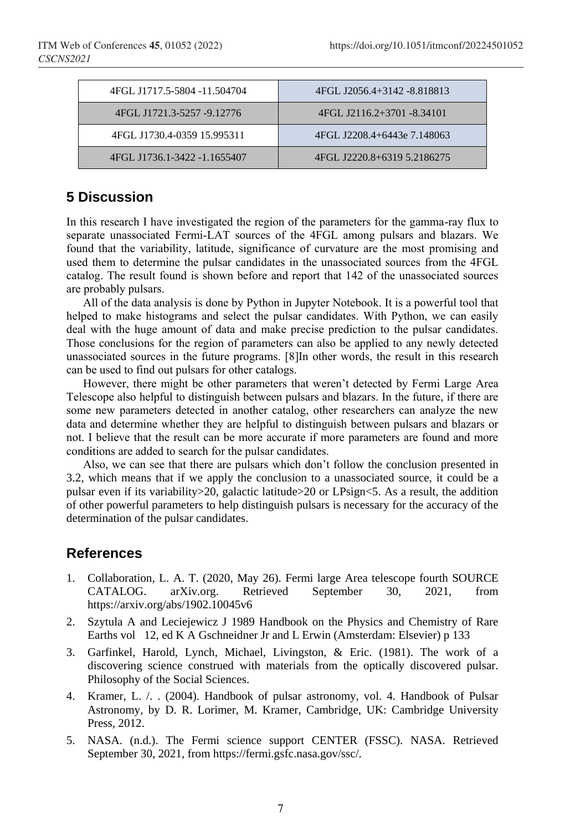| 4FGL J1717.5-5804 -11.504704 | 4FGL J2056.4+3142 -8.818813 |
|------------------------------|-----------------------------|
| 4FGL J1721.3-5257 -9.12776   | 4FGL J2116.2+3701 -8.34101  |
| 4FGL J1730.4-0359 15.995311  | 4FGL J2208.4+6443e 7.148063 |
| 4FGL J1736.1-3422 -1.1655407 | 4FGL J2220.8+6319 5.2186275 |

## **5 Discussion**

In this research I have investigated the region of the parameters for the gamma-ray flux to separate unassociated Fermi-LAT sources of the 4FGL among pulsars and blazars. We found that the variability, latitude, significance of curvature are the most promising and used them to determine the pulsar candidates in the unassociated sources from the 4FGL catalog. The result found is shown before and report that 142 of the unassociated sources are probably pulsars.

All of the data analysis is done by Python in Jupyter Notebook. It is a powerful tool that helped to make histograms and select the pulsar candidates. With Python, we can easily deal with the huge amount of data and make precise prediction to the pulsar candidates. Those conclusions for the region of parameters can also be applied to any newly detected unassociated sources in the future programs. [8]In other words, the result in this research can be used to find out pulsars for other catalogs.

However, there might be other parameters that weren't detected by Fermi Large Area Telescope also helpful to distinguish between pulsars and blazars. In the future, if there are some new parameters detected in another catalog, other researchers can analyze the new data and determine whether they are helpful to distinguish between pulsars and blazars or not. I believe that the result can be more accurate if more parameters are found and more conditions are added to search for the pulsar candidates.

Also, we can see that there are pulsars which don't follow the conclusion presented in 3.2, which means that if we apply the conclusion to a unassociated source, it could be a pulsar even if its variability>20, galactic latitude>20 or LPsign<5. As a result, the addition of other powerful parameters to help distinguish pulsars is necessary for the accuracy of the determination of the pulsar candidates.

# **References**

- 1. Collaboration, L. A. T. (2020, May 26). Fermi large Area telescope fourth SOURCE CATALOG. arXiv.org. Retrieved September 30, 2021, from https://arxiv.org/abs/1902.10045v6
- 2. Szytula A and Leciejewicz J 1989 Handbook on the Physics and Chemistry of Rare Earths vol 12, ed K A Gschneidner Jr and L Erwin (Amsterdam: Elsevier) p 133
- 3. Garfinkel, Harold, Lynch, Michael, Livingston, & Eric. (1981). The work of a discovering science construed with materials from the optically discovered pulsar. Philosophy of the Social Sciences.
- 4. Kramer, L. /. . (2004). Handbook of pulsar astronomy, vol. 4. Handbook of Pulsar Astronomy, by D. R. Lorimer, M. Kramer, Cambridge, UK: Cambridge University Press, 2012.
- 5. NASA. (n.d.). The Fermi science support CENTER (FSSC). NASA. Retrieved September 30, 2021, from https://fermi.gsfc.nasa.gov/ssc/.